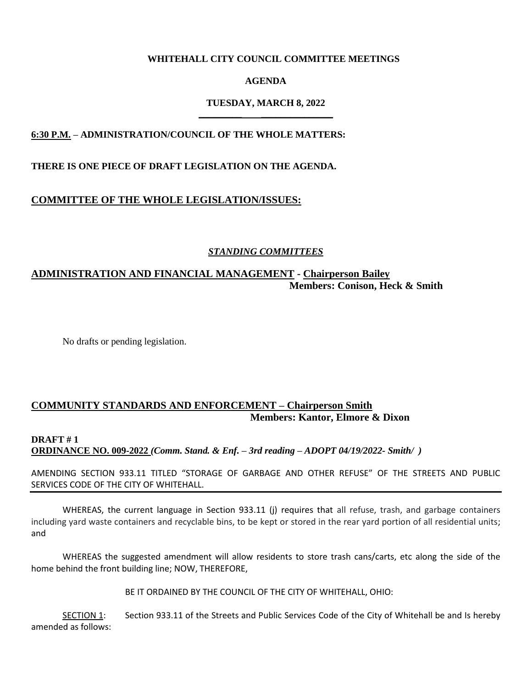## **WHITEHALL CITY COUNCIL COMMITTEE MEETINGS**

# **AGENDA**

### **TUESDAY, MARCH 8, 2022 \_\_\_\_\_\_\_\_\_ \_\_\_\_\_\_\_\_\_\_\_\_\_\_\_**

# **6:30 P.M. – ADMINISTRATION/COUNCIL OF THE WHOLE MATTERS:**

## **THERE IS ONE PIECE OF DRAFT LEGISLATION ON THE AGENDA.**

## **COMMITTEE OF THE WHOLE LEGISLATION/ISSUES:**

### *STANDING COMMITTEES*

# **ADMINISTRATION AND FINANCIAL MANAGEMENT - Chairperson Bailey Members: Conison, Heck & Smith**

No drafts or pending legislation.

# **COMMUNITY STANDARDS AND ENFORCEMENT – Chairperson Smith Members: Kantor, Elmore & Dixon**

# **DRAFT # 1**

**ORDINANCE NO. 009-2022** *(Comm. Stand. & Enf. – 3rd reading – ADOPT 04/19/2022- Smith/ )*

AMENDING SECTION 933.11 TITLED "STORAGE OF GARBAGE AND OTHER REFUSE" OF THE STREETS AND PUBLIC SERVICES CODE OF THE CITY OF WHITEHALL.

WHEREAS, the current language in Section 933.11 (j) requires that all refuse, trash, and garbage containers including yard waste containers and recyclable bins, to be kept or stored in the rear yard portion of all residential units; and

WHEREAS the suggested amendment will allow residents to store trash cans/carts, etc along the side of the home behind the front building line; NOW, THEREFORE,

BE IT ORDAINED BY THE COUNCIL OF THE CITY OF WHITEHALL, OHIO:

SECTION 1: Section 933.11 of the Streets and Public Services Code of the City of Whitehall be and Is hereby amended as follows: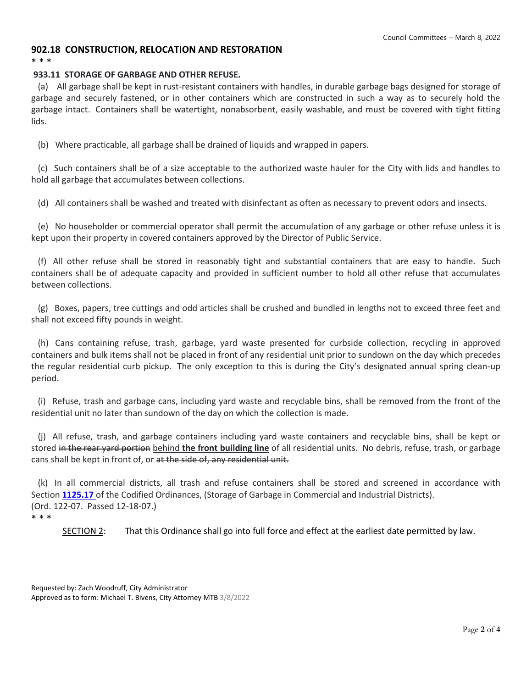## **902.18 CONSTRUCTION, RELOCATION AND RESTORATION**

\* \* \*

#### **933.11 STORAGE OF GARBAGE AND OTHER REFUSE.**

 (a) All garbage shall be kept in rust-resistant containers with handles, in durable garbage bags designed for storage of garbage and securely fastened, or in other containers which are constructed in such a way as to securely hold the garbage intact. Containers shall be watertight, nonabsorbent, easily washable, and must be covered with tight fitting lids.

(b) Where practicable, all garbage shall be drained of liquids and wrapped in papers.

 (c) Such containers shall be of a size acceptable to the authorized waste hauler for the City with lids and handles to hold all garbage that accumulates between collections.

(d) All containers shall be washed and treated with disinfectant as often as necessary to prevent odors and insects.

 (e) No householder or commercial operator shall permit the accumulation of any garbage or other refuse unless it is kept upon their property in covered containers approved by the Director of Public Service.

 (f) All other refuse shall be stored in reasonably tight and substantial containers that are easy to handle. Such containers shall be of adequate capacity and provided in sufficient number to hold all other refuse that accumulates between collections.

 (g) Boxes, papers, tree cuttings and odd articles shall be crushed and bundled in lengths not to exceed three feet and shall not exceed fifty pounds in weight.

 (h) Cans containing refuse, trash, garbage, yard waste presented for curbside collection, recycling in approved containers and bulk items shall not be placed in front of any residential unit prior to sundown on the day which precedes the regular residential curb pickup. The only exception to this is during the City's designated annual spring clean-up period.

 (i) Refuse, trash and garbage cans, including yard waste and recyclable bins, shall be removed from the front of the residential unit no later than sundown of the day on which the collection is made.

 (j) All refuse, trash, and garbage containers including yard waste containers and recyclable bins, shall be kept or stored in the rear yard portion behind **the front building line** of all residential units. No debris, refuse, trash, or garbage cans shall be kept in front of, or at the side of, any residential unit.

 (k) In all commercial districts, all trash and refuse containers shall be stored and screened in accordance with Section **[1125.17](https://codelibrary.amlegal.com/codes/whitehall/latest/whitehall_oh/0-0-0-18510#1125_17)** of the Codified Ordinances, (Storage of Garbage in Commercial and Industrial Districts). (Ord. 122-07. Passed 12-18-07.)

\* \* \*

SECTION 2: That this Ordinance shall go into full force and effect at the earliest date permitted by law.

Requested by: Zach Woodruff, City Administrator Approved as to form: Michael T. Bivens, City Attorney MTB 3/8/2022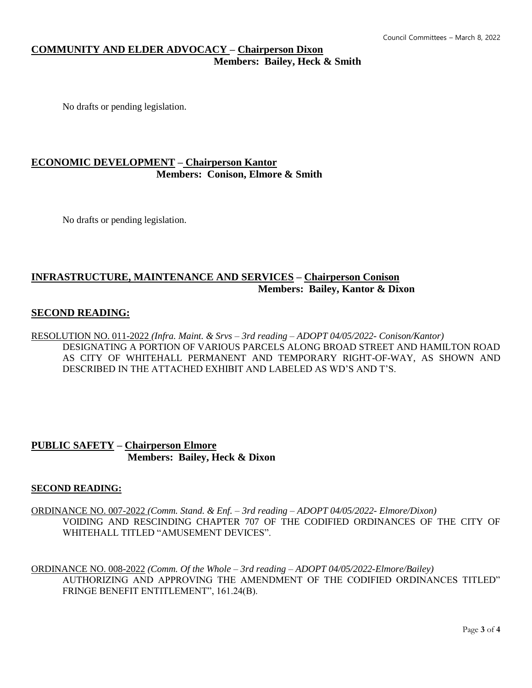# **COMMUNITY AND ELDER ADVOCACY – Chairperson Dixon Members: Bailey, Heck & Smith**

No drafts or pending legislation.

# **ECONOMIC DEVELOPMENT – Chairperson Kantor Members: Conison, Elmore & Smith**

No drafts or pending legislation.

# **INFRASTRUCTURE, MAINTENANCE AND SERVICES – Chairperson Conison Members: Bailey, Kantor & Dixon**

### **SECOND READING:**

RESOLUTION NO. 011-2022 *(Infra. Maint. & Srvs – 3rd reading – ADOPT 04/05/2022- Conison/Kantor)* DESIGNATING A PORTION OF VARIOUS PARCELS ALONG BROAD STREET AND HAMILTON ROAD AS CITY OF WHITEHALL PERMANENT AND TEMPORARY RIGHT-OF-WAY, AS SHOWN AND DESCRIBED IN THE ATTACHED EXHIBIT AND LABELED AS WD'S AND T'S.

**PUBLIC SAFETY – Chairperson Elmore Members: Bailey, Heck & Dixon**

#### **SECOND READING:**

ORDINANCE NO. 007-2022 *(Comm. Stand. & Enf. – 3rd reading – ADOPT 04/05/2022- Elmore/Dixon)* VOIDING AND RESCINDING CHAPTER 707 OF THE CODIFIED ORDINANCES OF THE CITY OF WHITEHALL TITLED "AMUSEMENT DEVICES".

ORDINANCE NO. 008-2022 *(Comm. Of the Whole – 3rd reading – ADOPT 04/05/2022-Elmore/Bailey)* AUTHORIZING AND APPROVING THE AMENDMENT OF THE CODIFIED ORDINANCES TITLED" FRINGE BENEFIT ENTITLEMENT", 161.24(B).